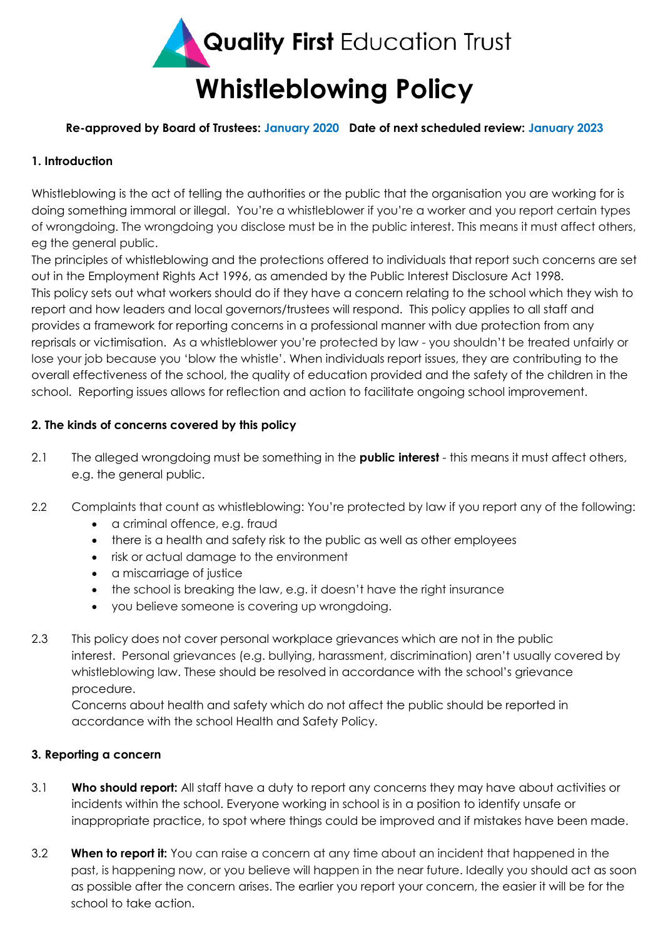

### **Re-approved by Board of Trustees: January 2020 Date of next scheduled review: January 2023**

## **1. Introduction**

Whistleblowing is the act of telling the authorities or the public that the organisation you are working for is doing something immoral or illegal. You're a whistleblower if you're a worker and you report certain types of wrongdoing. The wrongdoing you disclose must be in the public interest. This means it must affect others, eg the general public.

The principles of whistleblowing and the protections offered to individuals that report such concerns are set out in the Employment Rights Act 1996, as amended by the Public Interest Disclosure Act 1998. This policy sets out what workers should do if they have a concern relating to the school which they wish to report and how leaders and local governors/trustees will respond. This policy applies to all staff and provides a framework for reporting concerns in a professional manner with due protection from any reprisals or victimisation. As a whistleblower you're protected by law - you shouldn't be treated unfairly or lose your job because you 'blow the whistle'. When individuals report issues, they are contributing to the overall effectiveness of the school, the quality of education provided and the safety of the children in the school. Reporting issues allows for reflection and action to facilitate ongoing school improvement.

### **2. The kinds of concerns covered by this policy**

- 2.1 The alleged wrongdoing must be something in the **public interest** this means it must affect others, e.g. the general public.
- 2.2 Complaints that count as whistleblowing: You're protected by law if you report any of the following:
	- a criminal offence, e.g. fraud
	- there is a health and safety risk to the public as well as other employees
	- risk or actual damage to the environment
	- a miscarriage of justice
	- the school is breaking the law, e.g. it doesn't have the right insurance
	- you believe someone is covering up wrongdoing.
- 2.3 This policy does not cover personal workplace grievances which are not in the public interest. Personal grievances (e.g. bullying, harassment, discrimination) aren't usually covered by whistleblowing law. These should be resolved in accordance with the school's grievance procedure.

Concerns about health and safety which do not affect the public should be reported in accordance with the school Health and Safety Policy.

#### **3. Reporting a concern**

- 3.1 **Who should report:** All staff have a duty to report any concerns they may have about activities or incidents within the school. Everyone working in school is in a position to identify unsafe or inappropriate practice, to spot where things could be improved and if mistakes have been made.
- 3.2 **When to report it:** You can raise a concern at any time about an incident that happened in the past, is happening now, or you believe will happen in the near future. Ideally you should act as soon as possible after the concern arises. The earlier you report your concern, the easier it will be for the school to take action.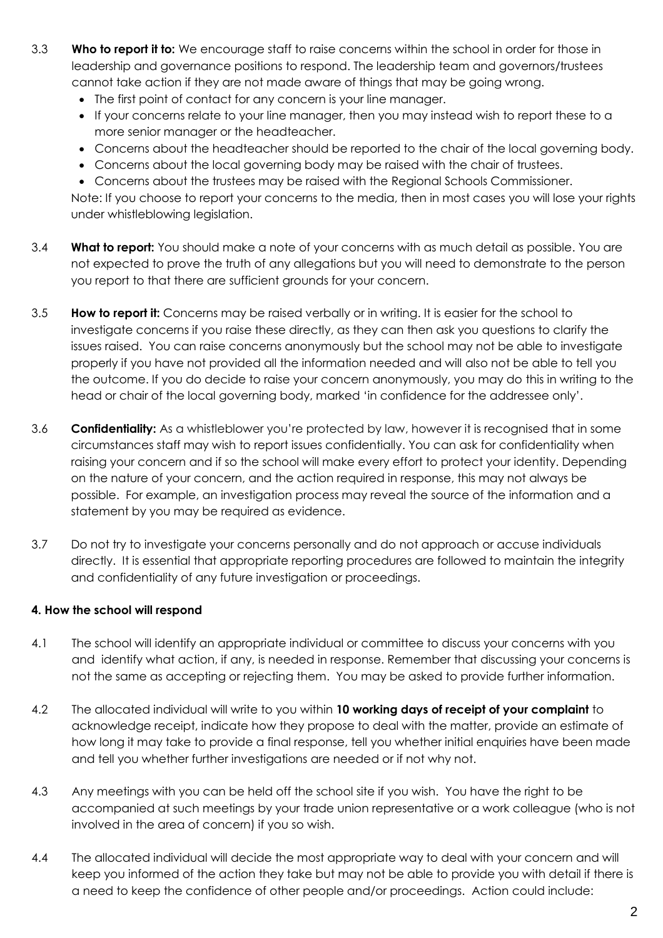- 3.3 **Who to report it to:** We encourage staff to raise concerns within the school in order for those in leadership and governance positions to respond. The leadership team and governors/trustees cannot take action if they are not made aware of things that may be going wrong.
	- The first point of contact for any concern is your line manager.
	- If your concerns relate to your line manager, then you may instead wish to report these to a more senior manager or the headteacher.
	- Concerns about the headteacher should be reported to the chair of the local governing body.
	- Concerns about the local governing body may be raised with the chair of trustees.

 Concerns about the trustees may be raised with the Regional Schools Commissioner. Note: If you choose to report your concerns to the media, then in most cases you will lose your rights under whistleblowing legislation.

- 3.4 **What to report:** You should make a note of your concerns with as much detail as possible. You are not expected to prove the truth of any allegations but you will need to demonstrate to the person you report to that there are sufficient grounds for your concern.
- 3.5 **How to report it:** Concerns may be raised verbally or in writing. It is easier for the school to investigate concerns if you raise these directly, as they can then ask you questions to clarify the issues raised. You can raise concerns anonymously but the school may not be able to investigate properly if you have not provided all the information needed and will also not be able to tell you the outcome. If you do decide to raise your concern anonymously, you may do this in writing to the head or chair of the local governing body, marked 'in confidence for the addressee only'.
- 3.6 **Confidentiality:** As a whistleblower you're protected by law, however it is recognised that in some circumstances staff may wish to report issues confidentially. You can ask for confidentiality when raising your concern and if so the school will make every effort to protect your identity. Depending on the nature of your concern, and the action required in response, this may not always be possible. For example, an investigation process may reveal the source of the information and a statement by you may be required as evidence.
- 3.7 Do not try to investigate your concerns personally and do not approach or accuse individuals directly. It is essential that appropriate reporting procedures are followed to maintain the integrity and confidentiality of any future investigation or proceedings.

# **4. How the school will respond**

- 4.1 The school will identify an appropriate individual or committee to discuss your concerns with you and identify what action, if any, is needed in response. Remember that discussing your concerns is not the same as accepting or rejecting them. You may be asked to provide further information.
- 4.2 The allocated individual will write to you within **10 working days of receipt of your complaint** to acknowledge receipt, indicate how they propose to deal with the matter, provide an estimate of how long it may take to provide a final response, tell you whether initial enquiries have been made and tell you whether further investigations are needed or if not why not.
- 4.3 Any meetings with you can be held off the school site if you wish. You have the right to be accompanied at such meetings by your trade union representative or a work colleague (who is not involved in the area of concern) if you so wish.
- 4.4 The allocated individual will decide the most appropriate way to deal with your concern and will keep you informed of the action they take but may not be able to provide you with detail if there is a need to keep the confidence of other people and/or proceedings. Action could include: